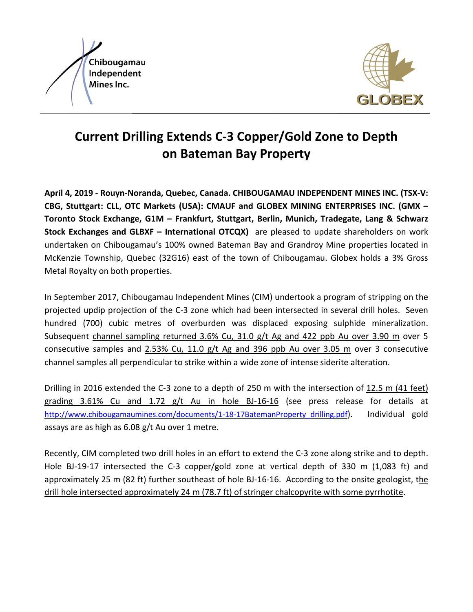



## **Current Drilling Extends C-3 Copper/Gold Zone to Depth on Bateman Bay Property**

**April 4, 2019 - Rouyn-Noranda, Quebec, Canada. CHIBOUGAMAU INDEPENDENT MINES INC. (TSX-V: CBG, Stuttgart: CLL, OTC Markets (USA): CMAUF and GLOBEX MINING ENTERPRISES INC. (GMX – Toronto Stock Exchange, G1M – Frankfurt, Stuttgart, Berlin, Munich, Tradegate, Lang & Schwarz Stock Exchanges and GLBXF – International OTCQX)** are pleased to update shareholders on work undertaken on Chibougamau's 100% owned Bateman Bay and Grandroy Mine properties located in McKenzie Township, Quebec (32G16) east of the town of Chibougamau. Globex holds a 3% Gross Metal Royalty on both properties.

In September 2017, Chibougamau Independent Mines (CIM) undertook a program of stripping on the projected updip projection of the C-3 zone which had been intersected in several drill holes. Seven hundred (700) cubic metres of overburden was displaced exposing sulphide mineralization. Subsequent channel sampling returned 3.6% Cu, 31.0 g/t Ag and 422 ppb Au over 3.90 m over 5 consecutive samples and 2.53% Cu, 11.0 g/t Ag and 396 ppb Au over 3.05 m over 3 consecutive channel samples all perpendicular to strike within a wide zone of intense siderite alteration.

Drilling in 2016 extended the C-3 zone to a depth of 250 m with the intersection of 12.5 m (41 feet) grading 3.61% Cu and 1.72 g/t Au in hole BJ-16-16 (see press release for details at [http://www.chibougamaumines.com/documents/1-18-17BatemanProperty\\_drilling.pdf\)](http://www.chibougamaumines.com/documents/1-18-17BatemanProperty_drilling.pdf). Individual gold assays are as high as 6.08 g/t Au over 1 metre.

Recently, CIM completed two drill holes in an effort to extend the C-3 zone along strike and to depth. Hole BJ-19-17 intersected the C-3 copper/gold zone at vertical depth of 330 m (1,083 ft) and approximately 25 m (82 ft) further southeast of hole BJ-16-16. According to the onsite geologist, the drill hole intersected approximately 24 m (78.7 ft) of stringer chalcopyrite with some pyrrhotite.